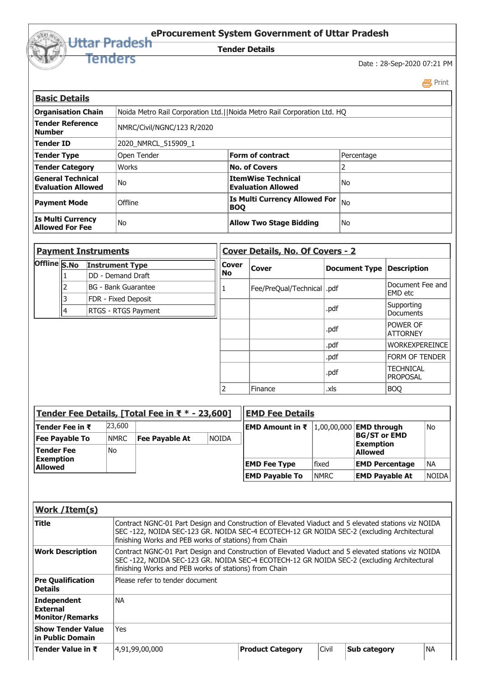

## eProcurement System Government of Uttar Pradesh

## Tender Details

**Tenders** 

Date: 28-Sep-2020 07:21 PM

[Print](javascript:void(0);)

| <b>Basic Details</b>                                  |                                                                          |                                                        |            |  |  |  |  |  |
|-------------------------------------------------------|--------------------------------------------------------------------------|--------------------------------------------------------|------------|--|--|--|--|--|
| <b>Organisation Chain</b>                             | Noida Metro Rail Corporation Ltd.   Noida Metro Rail Corporation Ltd. HO |                                                        |            |  |  |  |  |  |
| <b>Tender Reference</b><br>l Number                   | NMRC/Civil/NGNC/123 R/2020                                               |                                                        |            |  |  |  |  |  |
| Tender ID                                             | 2020_NMRCL_515909_1                                                      |                                                        |            |  |  |  |  |  |
| <b>Tender Type</b>                                    | Open Tender                                                              | Form of contract                                       | Percentage |  |  |  |  |  |
| <b>Tender Category</b>                                | <b>Works</b>                                                             | <b>No. of Covers</b>                                   |            |  |  |  |  |  |
| <b>General Technical</b><br><b>Evaluation Allowed</b> | No                                                                       | <b>ItemWise Technical</b><br><b>Evaluation Allowed</b> | No         |  |  |  |  |  |
| <b>Payment Mode</b>                                   | Offline                                                                  | <b>Is Multi Currency Allowed For</b><br><b>BOO</b>     | <b>No</b>  |  |  |  |  |  |
| <b>Is Multi Currency</b><br><b>Allowed For Fee</b>    | No                                                                       | <b>Allow Two Stage Bidding</b>                         | No         |  |  |  |  |  |

| <b>Payment Instruments</b> |  |                            | Cover Details, No. Of Covers - 2 |                              |                                  |                                     |  |  |  |
|----------------------------|--|----------------------------|----------------------------------|------------------------------|----------------------------------|-------------------------------------|--|--|--|
| Offline S.No               |  | <b>Instrument Type</b>     |                                  | <b>Cover</b>                 | <b>Document Type Description</b> |                                     |  |  |  |
|                            |  | DD - Demand Draft          | lNo.                             |                              |                                  |                                     |  |  |  |
|                            |  | <b>BG</b> - Bank Guarantee |                                  | Fee/PreQual/Technical   .pdf |                                  | Document Fee and<br>EMD etc         |  |  |  |
|                            |  | FDR - Fixed Deposit        |                                  |                              |                                  | Supporting                          |  |  |  |
|                            |  | RTGS - RTGS Payment        |                                  |                              | .pdf                             | <b>Documents</b>                    |  |  |  |
|                            |  |                            |                                  |                              | .pdf                             | POWER OF<br><b>ATTORNEY</b>         |  |  |  |
|                            |  |                            |                                  |                              | .pdf                             | <b>WORKEXPEREINCE</b>               |  |  |  |
|                            |  |                            |                                  |                              | .pdf                             | FORM OF TENDER                      |  |  |  |
|                            |  |                            |                                  |                              | .pdf                             | <b>TECHNICAL</b><br><b>PROPOSAL</b> |  |  |  |
|                            |  |                            | 2                                | Finance                      | .xls                             | <b>BOQ</b>                          |  |  |  |

|                             |             | Tender Fee Details, [Total Fee in ₹ * - 23,600] |              | <u>   EMD Fee Details</u>                         |               |                                         |              |  |  |
|-----------------------------|-------------|-------------------------------------------------|--------------|---------------------------------------------------|---------------|-----------------------------------------|--------------|--|--|
| Tender Fee in ₹             | 23,600      |                                                 |              | EMD Amount in $\bar{x}$   1,00,00,000 EMD through |               |                                         | l No         |  |  |
| Fee Payable To              | <b>NMRC</b> | Fee Payable At                                  | <b>NOIDA</b> |                                                   |               | <b>BG/ST or EMD</b><br><b>Exemption</b> |              |  |  |
| <b>Tender Fee</b>           | No.         |                                                 |              |                                                   |               | <b>Allowed</b>                          |              |  |  |
| Exemption<br><b>Allowed</b> |             |                                                 |              | <b>EMD Fee Type</b>                               | <b>lfixed</b> | <b>EMD Percentage</b>                   | <b>NA</b>    |  |  |
|                             |             |                                                 |              | <b>EMD Payable To</b>                             | <b>NMRC</b>   | <b>EMD Payable At</b>                   | <b>NOIDA</b> |  |  |

| Work / Item(s)                                    |                                                                                                                                                                                                                                                           |                         |       |                     |    |  |  |  |  |
|---------------------------------------------------|-----------------------------------------------------------------------------------------------------------------------------------------------------------------------------------------------------------------------------------------------------------|-------------------------|-------|---------------------|----|--|--|--|--|
| <b>Title</b>                                      | Contract NGNC-01 Part Design and Construction of Elevated Viaduct and 5 elevated stations viz NOIDA<br>SEC-122, NOIDA SEC-123 GR. NOIDA SEC-4 ECOTECH-12 GR NOIDA SEC-2 (excluding Architectural<br>finishing Works and PEB works of stations) from Chain |                         |       |                     |    |  |  |  |  |
| <b>Work Description</b>                           | Contract NGNC-01 Part Design and Construction of Elevated Viaduct and 5 elevated stations viz NOIDA<br>SEC-122, NOIDA SEC-123 GR. NOIDA SEC-4 ECOTECH-12 GR NOIDA SEC-2 (excluding Architectural<br>finishing Works and PEB works of stations) from Chain |                         |       |                     |    |  |  |  |  |
| <b>Pre Qualification</b><br><b>Details</b>        | Please refer to tender document                                                                                                                                                                                                                           |                         |       |                     |    |  |  |  |  |
| Independent<br>External<br><b>Monitor/Remarks</b> | <b>NA</b>                                                                                                                                                                                                                                                 |                         |       |                     |    |  |  |  |  |
| <b>Show Tender Value</b><br>lin Public Domain     | Yes                                                                                                                                                                                                                                                       |                         |       |                     |    |  |  |  |  |
| Tender Value in ₹                                 | 4,91,99,00,000                                                                                                                                                                                                                                            | <b>Product Category</b> | Civil | <b>Sub category</b> | NA |  |  |  |  |